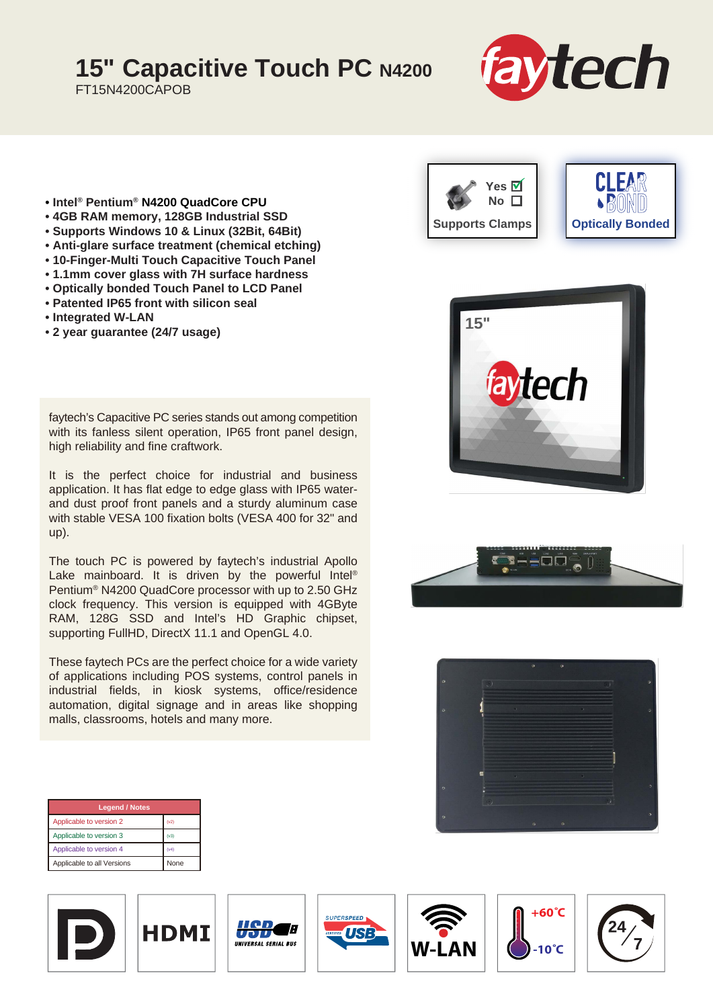# **15" Capacitive Touch PC N4200**

FT15N4200CAPOB



- **Intel® Pentium® N4200 QuadCore CPU**
- **4GB RAM memory, 128GB Industrial SSD**
- **Supports Windows 10 & Linux (32Bit, 64Bit)**
- **Anti-glare surface treatment (chemical etching)**
- **10-Finger-Multi Touch Capacitive Touch Panel**
- **1.1mm cover glass with 7H surface hardness**
- **Optically bonded Touch Panel to LCD Panel**
- **Patented IP65 front with silicon seal**
- **Integrated W-LAN**
- **2 year guarantee (24/7 usage)**

faytech's Capacitive PC series stands out among competition with its fanless silent operation, IP65 front panel design, high reliability and fine craftwork.

It is the perfect choice for industrial and business application. It has flat edge to edge glass with IP65 waterand dust proof front panels and a sturdy aluminum case with stable VESA 100 fixation bolts (VESA 400 for 32" and up).

The touch PC is powered by faytech's industrial Apollo Lake mainboard. It is driven by the powerful Intel® Pentium® N4200 QuadCore processor with up to 2.50 GHz clock frequency. This version is equipped with 4GByte RAM, 128G SSD and Intel's HD Graphic chipset, supporting FullHD, DirectX 11.1 and OpenGL 4.0.

These faytech PCs are the perfect choice for a wide variety of applications including POS systems, control panels in industrial fields, in kiosk systems, office/residence automation, digital signage and in areas like shopping malls, classrooms, hotels and many more.









| <b>Legend / Notes</b>      |             |
|----------------------------|-------------|
| Applicable to version 2    | (v2)        |
| Applicable to version 3    | (v3)        |
| Applicable to version 4    | (v4)        |
| Applicable to all Versions | <b>None</b> |











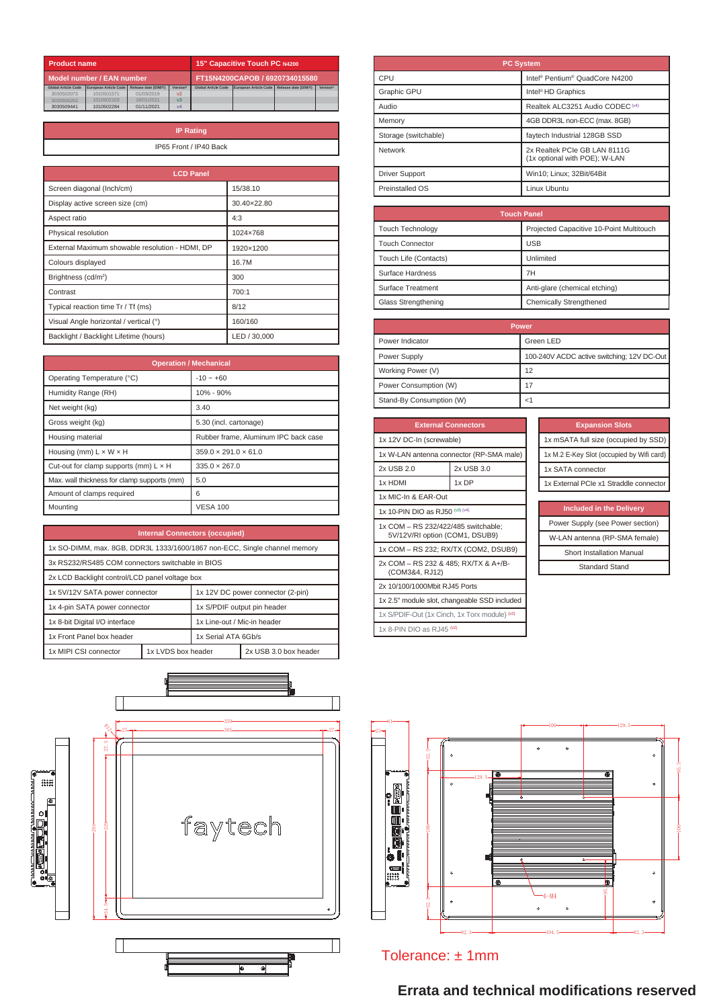| <b>15" Capacitive Touch PC N4200</b><br><b>Product name</b> |                       |                                |                |                            |                       |                      |          |
|-------------------------------------------------------------|-----------------------|--------------------------------|----------------|----------------------------|-----------------------|----------------------|----------|
| Model number / EAN number                                   |                       | FT15N4200CAPOB / 6920734015580 |                |                            |                       |                      |          |
| <b>Global Article Code</b>                                  | European Article Code | Release date (D/M/Y)           | Version*       | <b>Global Article Code</b> | European Article Code | Release date (D/M/Y) | Version* |
| 3030502073                                                  | 1010501571            | 01/03/2019                     | V <sup>2</sup> |                            |                       |                      |          |
| 3030506253                                                  | 1010502103            | 18/01/2021                     | v <sub>3</sub> |                            |                       |                      |          |
| 3030509441                                                  | 1010502284            | 01/11/2021                     | V <sub>4</sub> |                            |                       |                      |          |

| <b>IP Rating</b>       |
|------------------------|
| IP65 Front / IP40 Back |
|                        |

| <b>LCD Panel</b>                                |              |
|-------------------------------------------------|--------------|
| Screen diagonal (Inch/cm)                       | 15/38.10     |
| Display active screen size (cm)                 | 30.40×22.80  |
| Aspect ratio                                    | 4:3          |
| Physical resolution                             | 1024×768     |
| External Maximum showable resolution - HDMI, DP | 1920×1200    |
| Colours displayed                               | 16.7M        |
| Brightness (cd/m <sup>2</sup> )                 | 300          |
| Contrast                                        | 700:1        |
| Typical reaction time Tr / Tf (ms)              | 8/12         |
| Visual Angle horizontal / vertical (°)          | 160/160      |
| Backlight / Backlight Lifetime (hours)          | LED / 30,000 |

| <b>Operation / Mechanical</b>                |                                      |  |
|----------------------------------------------|--------------------------------------|--|
| Operating Temperature (°C)                   | $-10 - +60$                          |  |
| Humidity Range (RH)                          | 10% - 90%                            |  |
| Net weight (kg)                              | 3.40                                 |  |
| Gross weight (kg)                            | 5.30 (incl. cartonage)               |  |
| Housing material                             | Rubber frame, Aluminum IPC back case |  |
| Housing (mm) $L \times W \times H$           | $359.0 \times 291.0 \times 61.0$     |  |
| Cut-out for clamp supports (mm) $L \times H$ | $335.0 \times 267.0$                 |  |
| Max. wall thickness for clamp supports (mm)  | 5.0                                  |  |
| Amount of clamps required                    | 6                                    |  |
| Mountina                                     | <b>VESA 100</b>                      |  |

| <b>Internal Connectors (occupied)</b>                                     |                             |  |                       |
|---------------------------------------------------------------------------|-----------------------------|--|-----------------------|
| 1x SO-DIMM, max. 8GB, DDR3L 1333/1600/1867 non-ECC, Single channel memory |                             |  |                       |
| 3x RS232/RS485 COM connectors switchable in BIOS                          |                             |  |                       |
| 2x LCD Backlight control/LCD panel voltage box                            |                             |  |                       |
| 1x 12V DC power connector (2-pin)<br>1x 5V/12V SATA power connector       |                             |  |                       |
| 1x 4-pin SATA power connector<br>1x S/PDIF output pin header              |                             |  |                       |
| 1x 8-bit Digital I/O interface                                            | 1x Line-out / Mic-in header |  |                       |
| 1x Front Panel box header                                                 | 1x Serial ATA 6Gb/s         |  |                       |
| 1x MIPI CSI connector                                                     | 1x LVDS box header          |  | 2x USB 3.0 box header |



| <b>PC System</b>      |                                                               |  |
|-----------------------|---------------------------------------------------------------|--|
| CPU                   | Intel® Pentium® QuadCore N4200                                |  |
| Graphic GPU           | Intel <sup>®</sup> HD Graphics                                |  |
| Audio                 | Realtek ALC3251 Audio CODEC (v4)                              |  |
| Memory                | 4GB DDR3L non-ECC (max. 8GB)                                  |  |
| Storage (switchable)  | faytech Industrial 128GB SSD                                  |  |
| Network               | 2x Realtek PCIe GB LAN 8111G<br>(1x optional with POE); W-LAN |  |
| <b>Driver Support</b> | Win10; Linux; 32Bit/64Bit                                     |  |
| Preinstalled OS       | Linux Ubuntu                                                  |  |

| <b>Touch Panel</b>      |                                          |  |
|-------------------------|------------------------------------------|--|
| <b>Touch Technology</b> | Projected Capacitive 10-Point Multitouch |  |
| <b>Touch Connector</b>  | <b>USB</b>                               |  |
| Touch Life (Contacts)   | Unlimited                                |  |
| Surface Hardness        | 7H                                       |  |
| Surface Treatment       | Anti-glare (chemical etching)            |  |
| Glass Strengthening     | Chemically Strengthened                  |  |

| <b>Power</b>             |                                            |  |
|--------------------------|--------------------------------------------|--|
| Power Indicator          | Green LED                                  |  |
| Power Supply             | 100-240V ACDC active switching; 12V DC-Out |  |
| Working Power (V)        | 12                                         |  |
| Power Consumption (W)    | 17                                         |  |
| Stand-By Consumption (W) |                                            |  |

| <b>External Connectors</b>                                            |            |  |
|-----------------------------------------------------------------------|------------|--|
| 1x 12V DC-In (screwable)                                              |            |  |
| 1x W-LAN antenna connector (RP-SMA male)                              |            |  |
| 2x USB 2.0                                                            | 2x USB 3.0 |  |
| 1x HDMI                                                               | 1x DP      |  |
| 1x MIC-In & EAR-Out                                                   |            |  |
| 1x 10-PIN DIO as RJ50 (v3) (v4)                                       |            |  |
| 1x COM - RS 232/422/485 switchable;<br>5V/12V/RI option (COM1, DSUB9) |            |  |
| 1x COM - RS 232; RX/TX (COM2, DSUB9)                                  |            |  |
| 2x COM - RS 232 & 485; RX/TX & A+/B-<br>(COM3&4, RJ12)                |            |  |
| 2x 10/100/1000Mbit RJ45 Ports                                         |            |  |
| 1x 2.5" module slot, changeable SSD included                          |            |  |
| 1x S/PDIF-Out (1x Cinch, 1x Torx module) (v2)                         |            |  |
| 1x 8-PIN DIO as RJ45 (v2)                                             |            |  |

| <b>Expansion Slots</b>                    |
|-------------------------------------------|
| 1x mSATA full size (occupied by SSD)      |
| 1x M.2 E-Key Slot (occupied by Wifi card) |
| 1x SATA connector                         |
| 1x External PCIe x1 Straddle connector    |

| Included in the Delivery         |
|----------------------------------|
| Power Supply (see Power section) |
| W-LAN antenna (RP-SMA female)    |
| <b>Short Installation Manual</b> |
| Standard Stand                   |



## Tolerance: ± 1mm

## **Errata and technical modifications reserved**